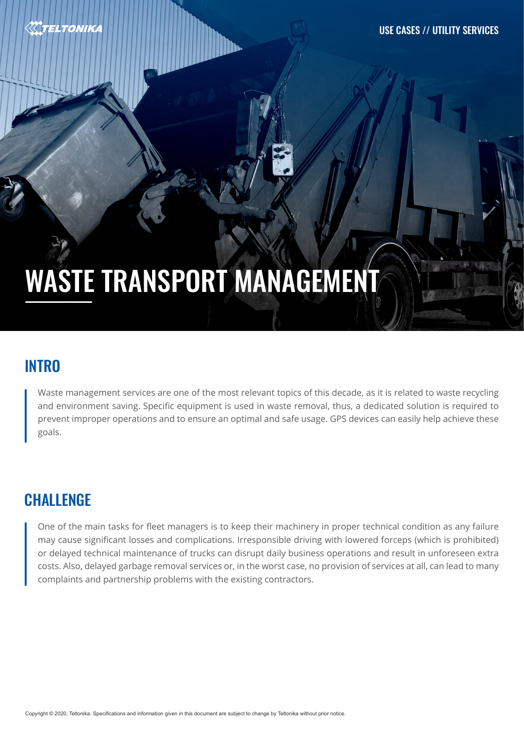

# WASTE TRANSPORT MANAGEMENT

#### **INTRO**

Waste management services are one of the most relevant topics of this decade, as it is related to waste recycling and environment saving. Specific equipment is used in waste removal, thus, a dedicated solution is required to prevent improper operations and to ensure an optimal and safe usage. GPS devices can easily help achieve these goals.

## **CHALLENGE**

One of the main tasks for fleet managers is to keep their machinery in proper technical condition as any failure may cause significant losses and complications. Irresponsible driving with lowered forceps (which is prohibited) or delayed technical maintenance of trucks can disrupt daily business operations and result in unforeseen extra costs. Also, delayed garbage removal services or, in the worst case, no provision of services at all, can lead to many complaints and partnership problems with the existing contractors.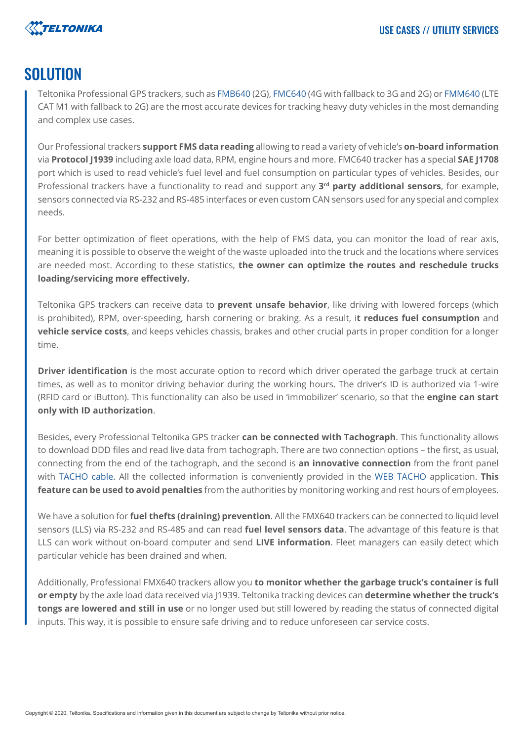

#### SOLUTION

Teltonika Professional GPS trackers, such as [FMB640](https://teltonika-gps.com/product/fmb640/) (2G), [FMC640](https://teltonika-gps.com/product/fmc640/) (4G with fallback to 3G and 2G) or [FMM640](https://teltonika-gps.com/product/fmm640/) (LTE CAT M1 with fallback to 2G) are the most accurate devices for tracking heavy duty vehicles in the most demanding and complex use cases.

Our Professional trackers **support FMS data reading** allowing to read a variety of vehicle's **on-board information** via **Protocol J1939** including axle load data, RPM, engine hours and more. FMC640 tracker has a special **SAE J1708** port which is used to read vehicle's fuel level and fuel consumption on particular types of vehicles. Besides, our Professional trackers have a functionality to read and support any **3rd party additional sensors**, for example, sensors connected via RS-232 and RS-485 interfaces or even custom CAN sensors used for any special and complex needs.

For better optimization of fleet operations, with the help of FMS data, you can monitor the load of rear axis, meaning it is possible to observe the weight of the waste uploaded into the truck and the locations where services are needed most. According to these statistics, **the owner can optimize the routes and reschedule trucks loading/servicing more effectively.**

Teltonika GPS trackers can receive data to **prevent unsafe behavior**, like driving with lowered forceps (which is prohibited), RPM, over-speeding, harsh cornering or braking. As a result, i**t reduces fuel consumption** and **vehicle service costs**, and keeps vehicles chassis, brakes and other crucial parts in proper condition for a longer time.

**Driver identification** is the most accurate option to record which driver operated the garbage truck at certain times, as well as to monitor driving behavior during the working hours. The driver's ID is authorized via 1-wire (RFID card or iButton). This functionality can also be used in 'immobilizer' scenario, so that the **engine can start only with ID authorization**.

Besides, every Professional Teltonika GPS tracker **can be connected with Tachograph**. This functionality allows to download DDD files and read live data from tachograph. There are two connection options – the first, as usual, connecting from the end of the tachograph, and the second is **an innovative connection** from the front panel with [TACHO cable](https://teltonika-gps.com/product/tacho-cable/#description). All the collected information is conveniently provided in the [WEB TACHO](https://teltonika-gps.com/product/tachograph-web/) application. **This feature can be used to avoid penalties** from the authorities by monitoring working and rest hours of employees.

We have a solution for **fuel thefts (draining) prevention**. All the FMX640 trackers can be connected to liquid level sensors (LLS) via RS-232 and RS-485 and can read **fuel level sensors data**. The advantage of this feature is that LLS can work without on-board computer and send **LIVE information**. Fleet managers can easily detect which particular vehicle has been drained and when.

Additionally, Professional FMX640 trackers allow you **to monitor whether the garbage truck's container is full or empty** by the axle load data received via J1939. Teltonika tracking devices can **determine whether the truck's tongs are lowered and still in use** or no longer used but still lowered by reading the status of connected digital inputs. This way, it is possible to ensure safe driving and to reduce unforeseen car service costs.